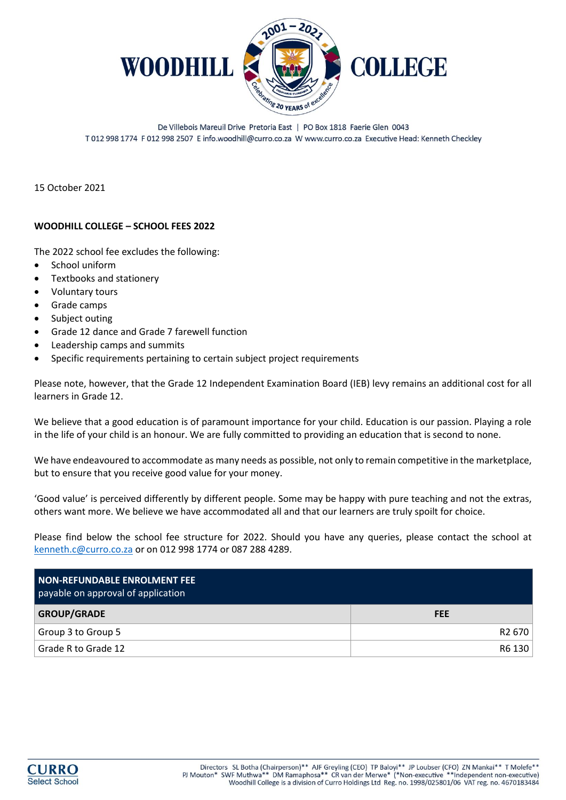

De Villebois Mareuil Drive Pretoria East | PO Box 1818 Faerie Glen 0043 T 012 998 1774 F 012 998 2507 E info.woodhill@curro.co.za W www.curro.co.za Executive Head: Kenneth Checkley

15 October 2021

#### **WOODHILL COLLEGE – SCHOOL FEES 2022**

The 2022 school fee excludes the following:

- School uniform
- Textbooks and stationery
- Voluntary tours
- Grade camps
- Subject outing
- Grade 12 dance and Grade 7 farewell function
- Leadership camps and summits
- Specific requirements pertaining to certain subject project requirements

Please note, however, that the Grade 12 Independent Examination Board (IEB) levy remains an additional cost for all learners in Grade 12.

We believe that a good education is of paramount importance for your child. Education is our passion. Playing a role in the life of your child is an honour. We are fully committed to providing an education that is second to none.

We have endeavoured to accommodate as many needs as possible, not only to remain competitive in the marketplace, but to ensure that you receive good value for your money.

'Good value' is perceived differently by different people. Some may be happy with pure teaching and not the extras, others want more. We believe we have accommodated all and that our learners are truly spoilt for choice.

Please find below the school fee structure for 2022. Should you have any queries, please contact the school at [kenneth.c@curro.co.za](mailto:kenneth.c@curro.co.za) or on 012 998 1774 or 087 288 4289.

| NON-REFUNDABLE ENROLMENT FEE<br>payable on approval of application |            |
|--------------------------------------------------------------------|------------|
| <b>GROUP/GRADE</b>                                                 | <b>FEE</b> |
| Group 3 to Group 5                                                 | R2 670     |
| Grade R to Grade 12                                                | R6 130     |

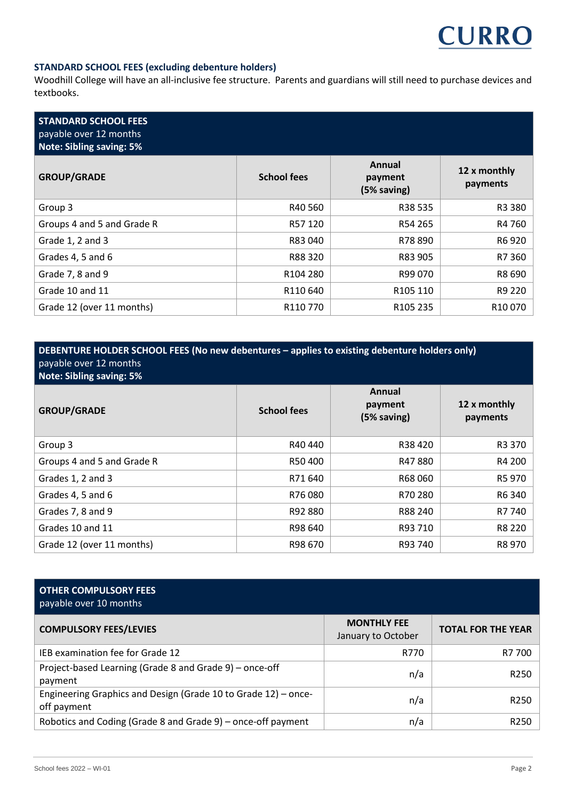

### **STANDARD SCHOOL FEES (excluding debenture holders)**

Woodhill College will have an all-inclusive fee structure. Parents and guardians will still need to purchase devices and textbooks.

| <b>STANDARD SCHOOL FEES</b><br>payable over 12 months<br><b>Note: Sibling saving: 5%</b> |                      |                                  |                          |
|------------------------------------------------------------------------------------------|----------------------|----------------------------------|--------------------------|
| <b>GROUP/GRADE</b>                                                                       | <b>School fees</b>   | Annual<br>payment<br>(5% saving) | 12 x monthly<br>payments |
| Group 3                                                                                  | R40 560              | R38 535                          | R3 380                   |
| Groups 4 and 5 and Grade R                                                               | R57 120              | R54 265                          | R4 760                   |
| Grade 1, 2 and 3                                                                         | R83 040              | R78 890                          | R6 920                   |
| Grades 4, 5 and 6                                                                        | R88 320              | R83 905                          | R7 360                   |
| Grade 7, 8 and 9                                                                         | R <sub>104</sub> 280 | R99 070                          | R8 690                   |
| Grade 10 and 11                                                                          | R110 640             | R105 110                         | R9 220                   |
| Grade 12 (over 11 months)                                                                | R <sub>110</sub> 770 | R <sub>105</sub> 235             | R <sub>10</sub> 070      |

# **DEBENTURE HOLDER SCHOOL FEES (No new debentures – applies to existing debenture holders only)** payable over 12 months

**Note: Sibling saving: 5%**

| <b>GROUP/GRADE</b>         | <b>School fees</b> | Annual<br>payment<br>(5% saving) | 12 x monthly<br>payments |
|----------------------------|--------------------|----------------------------------|--------------------------|
| Group 3                    | R40440             | R38420                           | R3 370                   |
| Groups 4 and 5 and Grade R | R50400             | R47880                           | R4 200                   |
| Grades 1, 2 and 3          | R71640             | R68060                           | R5 970                   |
| Grades 4, 5 and 6          | R76080             | R70 280                          | R6 340                   |
| Grades 7, 8 and 9          | R92 880            | R88 240                          | R7 740                   |
| Grades 10 and 11           | R98 640            | R93 710                          | R8 220                   |
| Grade 12 (over 11 months)  | R98 670            | R93 740                          | R8 970                   |

# **OTHER COMPULSORY FEES** payable over 10 months

| <b>COMPULSORY FEES/LEVIES</b>                                                 | <b>MONTHLY FEE</b><br>January to October | <b>TOTAL FOR THE YEAR</b> |
|-------------------------------------------------------------------------------|------------------------------------------|---------------------------|
| IEB examination fee for Grade 12                                              | R770                                     | R7 700                    |
| Project-based Learning (Grade 8 and Grade 9) – once-off<br>payment            | n/a                                      | R <sub>250</sub>          |
| Engineering Graphics and Design (Grade 10 to Grade 12) – once-<br>off payment | n/a                                      | R <sub>250</sub>          |
| Robotics and Coding (Grade 8 and Grade 9) – once-off payment                  | n/a                                      | R <sub>250</sub>          |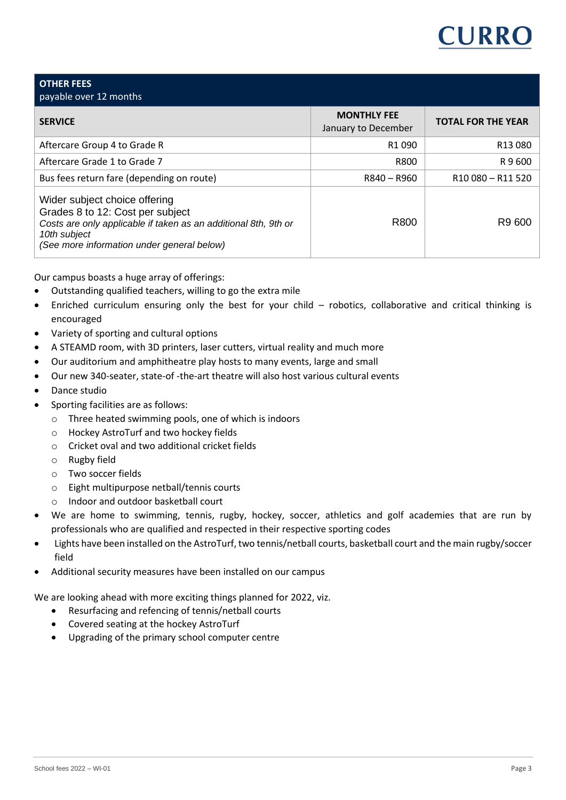

| <b>OTHER FEES</b><br>payable over 12 months                                                                                                                                                        |                                           |                                           |
|----------------------------------------------------------------------------------------------------------------------------------------------------------------------------------------------------|-------------------------------------------|-------------------------------------------|
| <b>SERVICE</b>                                                                                                                                                                                     | <b>MONTHLY FEE</b><br>January to December | <b>TOTAL FOR THE YEAR</b>                 |
| Aftercare Group 4 to Grade R                                                                                                                                                                       | R <sub>1</sub> 090                        | R13080                                    |
| Aftercare Grade 1 to Grade 7                                                                                                                                                                       | R800                                      | R 9 600                                   |
| Bus fees return fare (depending on route)                                                                                                                                                          | R840 - R960                               | R <sub>10</sub> 080 - R <sub>11</sub> 520 |
| Wider subject choice offering<br>Grades 8 to 12: Cost per subject<br>Costs are only applicable if taken as an additional 8th, 9th or<br>10th subject<br>(See more information under general below) | R800                                      | R9 600                                    |

Our campus boasts a huge array of offerings:

- Outstanding qualified teachers, willing to go the extra mile
- Enriched curriculum ensuring only the best for your child robotics, collaborative and critical thinking is encouraged
- Variety of sporting and cultural options
- A STEAMD room, with 3D printers, laser cutters, virtual reality and much more
- Our auditorium and amphitheatre play hosts to many events, large and small
- Our new 340-seater, state-of -the-art theatre will also host various cultural events
- Dance studio
- Sporting facilities are as follows:
	- o Three heated swimming pools, one of which is indoors
	- o Hockey AstroTurf and two hockey fields
	- o Cricket oval and two additional cricket fields
	- o Rugby field
	- o Two soccer fields
	- o Eight multipurpose netball/tennis courts
	- o Indoor and outdoor basketball court
- We are home to swimming, tennis, rugby, hockey, soccer, athletics and golf academies that are run by professionals who are qualified and respected in their respective sporting codes
- Lights have been installed on the AstroTurf, two tennis/netball courts, basketball court and the main rugby/soccer field
- Additional security measures have been installed on our campus

We are looking ahead with more exciting things planned for 2022, viz.

- Resurfacing and refencing of tennis/netball courts
- Covered seating at the hockey AstroTurf
- Upgrading of the primary school computer centre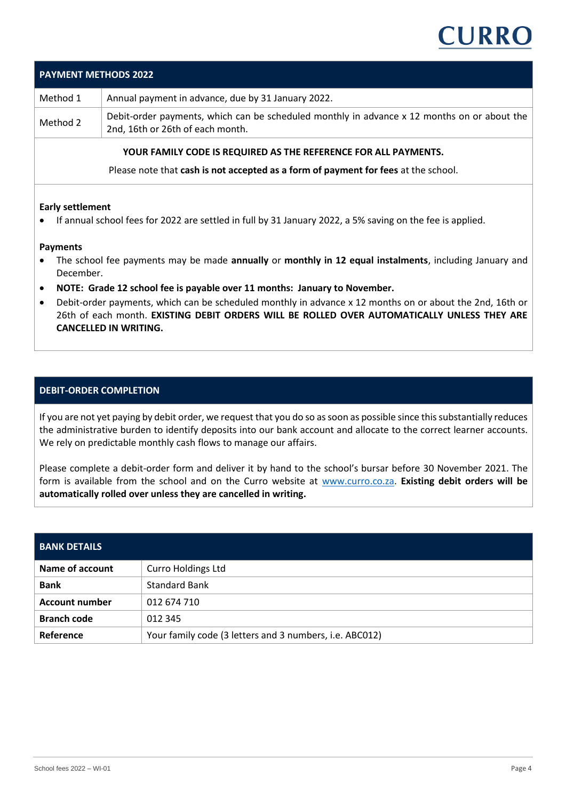

| <b>PAYMENT METHODS 2022</b>                                     |                                                                                                                                 |  |
|-----------------------------------------------------------------|---------------------------------------------------------------------------------------------------------------------------------|--|
| Method 1                                                        | Annual payment in advance, due by 31 January 2022.                                                                              |  |
| Method 2                                                        | Debit-order payments, which can be scheduled monthly in advance x 12 months on or about the<br>2nd, 16th or 26th of each month. |  |
| YOUR FAMILY CODE IS REQUIRED AS THE REFERENCE FOR ALL PAYMENTS. |                                                                                                                                 |  |

Please note that **cash is not accepted as a form of payment for fees** at the school.

#### **Early settlement**

• If annual school fees for 2022 are settled in full by 31 January 2022, a 5% saving on the fee is applied.

#### **Payments**

- The school fee payments may be made **annually** or **monthly in 12 equal instalments**, including January and December.
- **NOTE: Grade 12 school fee is payable over 11 months: January to November.**
- Debit-order payments, which can be scheduled monthly in advance x 12 months on or about the 2nd, 16th or 26th of each month. **EXISTING DEBIT ORDERS WILL BE ROLLED OVER AUTOMATICALLY UNLESS THEY ARE CANCELLED IN WRITING.**

#### **DEBIT-ORDER COMPLETION**

If you are not yet paying by debit order, we request that you do so as soon as possible since this substantially reduces the administrative burden to identify deposits into our bank account and allocate to the correct learner accounts. We rely on predictable monthly cash flows to manage our affairs.

Please complete a debit-order form and deliver it by hand to the school's bursar before 30 November 2021. The form is available from the school and on the Curro website at [www.curro.co.za.](http://www.curro.co.za/) **Existing debit orders will be automatically rolled over unless they are cancelled in writing.**

| <b>BANK DETAILS</b>   |                                                         |  |
|-----------------------|---------------------------------------------------------|--|
| Name of account       | <b>Curro Holdings Ltd</b>                               |  |
| <b>Bank</b>           | <b>Standard Bank</b>                                    |  |
| <b>Account number</b> | 012 674 710                                             |  |
| <b>Branch code</b>    | 012 345                                                 |  |
| Reference             | Your family code (3 letters and 3 numbers, i.e. ABC012) |  |